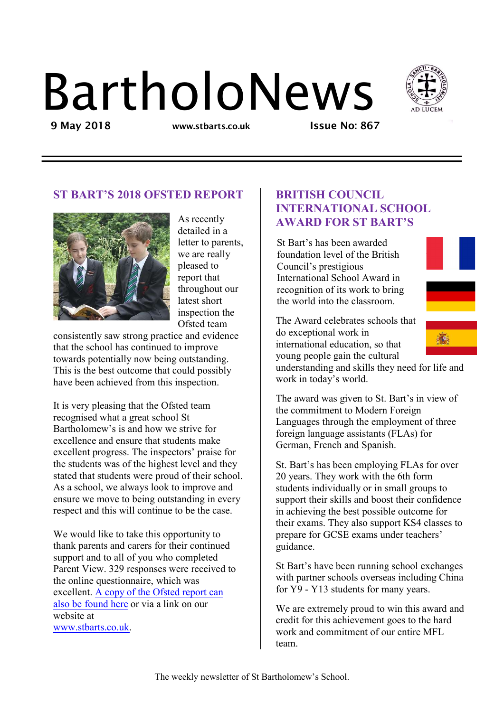# BartholoNews



9 May 2018 **www.stbarts.co.uk** Issue No: 867

# ST BART'S 2018 OFSTED REPORT



As recently detailed in a letter to parents, we are really pleased to report that throughout our latest short inspection the Ofsted team

consistently saw strong practice and evidence that the school has continued to improve towards potentially now being outstanding. This is the best outcome that could possibly have been achieved from this inspection.

It is very pleasing that the Ofsted team recognised what a great school St Bartholomew's is and how we strive for excellence and ensure that students make excellent progress. The inspectors' praise for the students was of the highest level and they stated that students were proud of their school. As a school, we always look to improve and ensure we move to being outstanding in every respect and this will continue to be the case.

We would like to take this opportunity to thank parents and carers for their continued support and to all of you who completed Parent View. 329 responses were received to the online questionnaire, which was [excellent. A copy of the Ofsted report can](http://www.stbarts.co.uk/wp-content/uploads/2018/05/OFSTED-INSPECTION-REPORT-2018.pdf)  [also be found here o](http://www.stbarts.co.uk/wp-content/uploads/2018/05/OFSTED-INSPECTION-REPORT-2018.pdf)r via a link on our website at www.stbarts.co.uk.

### BRITISH COUNCIL INTERNATIONAL SCHOOL AWARD FOR ST BART'S

St Bart's has been awarded foundation level of the British Council's prestigious International School Award in recognition of its work to bring the world into the classroom.



The Award celebrates schools that do exceptional work in international education, so that young people gain the cultural

understanding and skills they need for life and work in today's world.

The award was given to St. Bart's in view of the commitment to Modern Foreign Languages through the employment of three foreign language assistants (FLAs) for German, French and Spanish.

St. Bart's has been employing FLAs for over 20 years. They work with the 6th form students individually or in small groups to support their skills and boost their confidence in achieving the best possible outcome for their exams. They also support KS4 classes to prepare for GCSE exams under teachers' guidance.

St Bart's have been running school exchanges with partner schools overseas including China for Y9 - Y13 students for many years.

We are extremely proud to win this award and credit for this achievement goes to the hard work and commitment of our entire MFL team.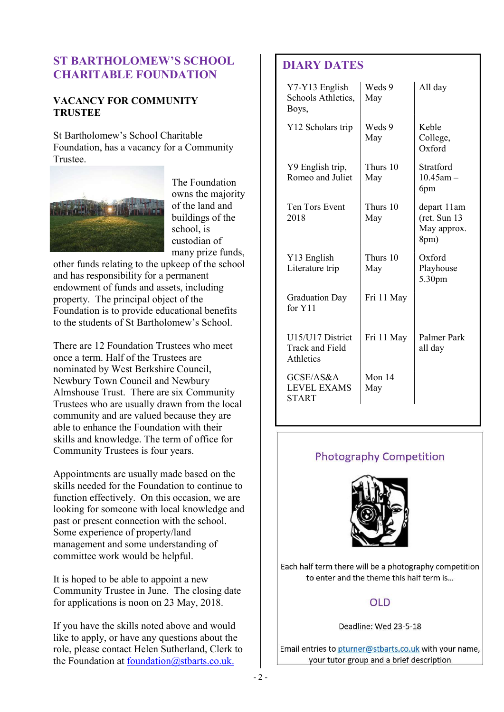## ST BARTHOLOMEW'S SCHOOL CHARITABLE FOUNDATION

### VACANCY FOR COMMUNITY **TRUSTEE**

St Bartholomew's School Charitable Foundation, has a vacancy for a Community Trustee.



The Foundation owns the majority of the land and buildings of the school, is custodian of many prize funds,

other funds relating to the upkeep of the school and has responsibility for a permanent endowment of funds and assets, including property. The principal object of the Foundation is to provide educational benefits to the students of St Bartholomew's School.

There are 12 Foundation Trustees who meet once a term. Half of the Trustees are nominated by West Berkshire Council, Newbury Town Council and Newbury Almshouse Trust. There are six Community Trustees who are usually drawn from the local community and are valued because they are able to enhance the Foundation with their skills and knowledge. The term of office for Community Trustees is four years.

Appointments are usually made based on the skills needed for the Foundation to continue to function effectively. On this occasion, we are looking for someone with local knowledge and past or present connection with the school. Some experience of property/land management and some understanding of committee work would be helpful.

It is hoped to be able to appoint a new Community Trustee in June. The closing date for applications is noon on 23 May, 2018.

If you have the skills noted above and would like to apply, or have any questions about the role, please contact Helen Sutherland, Clerk to the Foundation at foundation@stbarts.co.uk.

# DIARY DATES

| Y7-Y13 English<br>Schools Athletics,<br>Boys,           | Weds 9<br>May   | All day                                             |
|---------------------------------------------------------|-----------------|-----------------------------------------------------|
| Y12 Scholars trip                                       | Weds 9<br>May   | Keble<br>College,<br>$Ox$ ford                      |
| Y9 English trip,<br>Romeo and Juliet                    | Thurs 10<br>May | Stratford<br>$10.45$ am $-$<br>6pm                  |
| Ten Tors Event<br>2018                                  | Thurs 10<br>May | depart 11am<br>(ret. Sun 13)<br>May approx.<br>8pm) |
| Y13 English<br>Literature trip                          | Thurs 10<br>May | Oxford<br>Playhouse<br>5.30pm                       |
| <b>Graduation Day</b><br>for Y11                        | Fri 11 May      |                                                     |
| U15/U17 District<br><b>Track and Field</b><br>Athletics | Fri 11 May      | Palmer Park<br>all day                              |
| GCSE/AS&A<br><b>LEVEL EXAMS</b><br>START                | Mon 14<br>May   |                                                     |

# **Photography Competition**



Each half term there will be a photography competition to enter and the theme this half term is...

# **OLD**

Deadline: Wed 23-5-18

Email entries to pturner@stbarts.co.uk with your name, your tutor group and a brief description